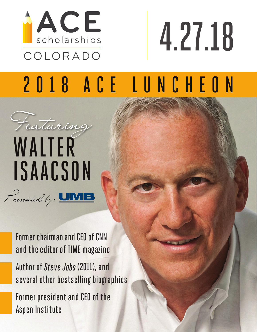

# 4.27.18

## 2018 ACE LUNCHEON



Former chairman and CEO of CNN and the editor of TIME magazine

Author of *Steve Jobs* (2011), and several other bestselling biographies

Former president and CEO of the Aspen Institute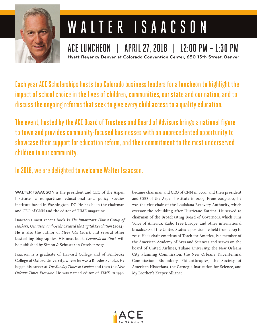

## WALTER ISAACSON

ACE LUNCHEON | APRIL 27, 2018 | 12:00 PM - 1:30 PM Hyatt Regency Denver at Colorado Convention Center, 650 15th Street, Denver

Each year ACE Scholarships hosts top Colorado business leaders for a luncheon to highlight the impact of school choice in the lives of children, communities, our state and our nation, and to discuss the ongoing reforms that seek to give every child access to a quality education.

The event, hosted by the ACE Board of Trustees and Board of Advisors brings a national figure to town and provides community-focused businesses with an unprecedented opportunity to showcase their support for education reform, and their commitment to the most underserved children in our community.

#### In 2018, we are delighted to welcome Walter Isaacson.

**WALTER ISAACSON** is the president and CEO of the Aspen Institute, a nonpartisan educational and policy studies institute based in Washington, DC. He has been the chairman and CEO of CNN and the editor of TIME magazine.

Isaacson's most recent book is The Innovators: How a Group of Hackers, Geniuses, and Geeks Created the Digital Revolution (2014). He is also the author of Steve Jobs (2011), and several other bestselling biographies. His next book, Leonardo da Vinci, will be published by Simon & Schuster in October 2017.

Isaacson is a graduate of Harvard College and of Pembroke College of Oxford University, where he was a Rhodes Scholar. He began his career at The Sunday Times of London and then the New Orleans Times-Picayune. He was named editor of TIME in 1996, became chairman and CEO of CNN in 2001, and then president and CEO of the Aspen Institute in 2003. From 2005-2007 he was the vice-chair of the Louisiana Recovery Authority, which oversaw the rebuilding after Hurricane Katrina. He served as chairman of the Broadcasting Board of Governors, which runs Voice of America, Radio Free Europe, and other international broadcasts of the United States, a position he held from 2009 to 2012. He is chair emeritus of Teach for America, is a member of the American Academy of Arts and Sciences and serves on the board of United Airlines, Tulane University, the New Orleans City Planning Commission, the New Orleans Tricentennial Commission, Bloomberg Philanthropies, the Society of American Historians, the Carnegie Institution for Science, and My Brother's Keeper Alliance.